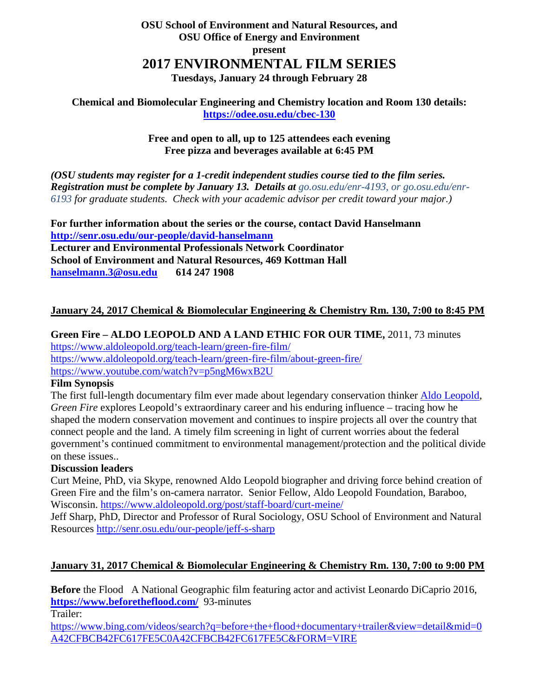### **OSU School of Environment and Natural Resources, and OSU Office of Energy and Environment present 2017 ENVIRONMENTAL FILM SERIES Tuesdays, January 24 through February 28**

**Chemical and Biomolecular Engineering and Chemistry location and Room 130 details: <https://odee.osu.edu/cbec-130>**

### **Free and open to all, up to 125 attendees each evening Free pizza and beverages available at 6:45 PM**

*(OSU students may register for a 1-credit independent studies course tied to the film series.*  **Registration must be complete by January 13. Details at** *go.osu.edu/enr-4193, or go.osu.edu/enr-6193 for graduate students. Check with your academic advisor per credit toward your major.)*

**For further information about the series or the course, contact David Hanselmann <http://senr.osu.edu/our-people/david-hanselmann> Lecturer and Environmental Professionals Network Coordinator School of Environment and Natural Resources, 469 Kottman Hall [hanselmann.3@osu.edu](mailto:hanselmann.3@osu.edu) 614 247 1908**

### **January 24, 2017 Chemical & Biomolecular Engineering & Chemistry Rm. 130, 7:00 to 8:45 PM**

# **Green Fire – ALDO LEOPOLD AND A LAND ETHIC FOR OUR TIME,** 2011, 73 minutes

<https://www.aldoleopold.org/teach-learn/green-fire-film/> <https://www.aldoleopold.org/teach-learn/green-fire-film/about-green-fire/> <https://www.youtube.com/watch?v=p5ngM6wxB2U>

### **Film Synopsis**

The first full-length documentary film ever made about legendary conservation thinker [Aldo Leopold,](http://www.aldoleopold.org/about/aldo-leopold/) *Green Fire* explores Leopold's extraordinary career and his enduring influence – tracing how he shaped the modern conservation movement and continues to inspire projects all over the country that connect people and the land. A timely film screening in light of current worries about the federal government's continued commitment to environmental management/protection and the political divide on these issues..

### **Discussion leaders**

Curt Meine, PhD, via Skype, renowned Aldo Leopold biographer and driving force behind creation of Green Fire and the film's on-camera narrator. Senior Fellow, Aldo Leopold Foundation, Baraboo, Wisconsin.<https://www.aldoleopold.org/post/staff-board/curt-meine/>

Jeff Sharp, PhD, Director and Professor of Rural Sociology, OSU School of Environment and Natural Resources<http://senr.osu.edu/our-people/jeff-s-sharp>

# **January 31, 2017 Chemical & Biomolecular Engineering & Chemistry Rm. 130, 7:00 to 9:00 PM**

**Before** the Flood A National Geographic film featuring actor and activist Leonardo DiCaprio 2016, **<https://www.beforetheflood.com/>**93-minutes

Trailer:

[https://www.bing.com/videos/search?q=before+the+flood+documentary+trailer&view=detail&mid=0](https://www.bing.com/videos/search?q=before+the+flood+documentary+trailer&view=detail&mid=0A42CFBCB42FC617FE5C0A42CFBCB42FC617FE5C&FORM=VIRE) [A42CFBCB42FC617FE5C0A42CFBCB42FC617FE5C&FORM=VIRE](https://www.bing.com/videos/search?q=before+the+flood+documentary+trailer&view=detail&mid=0A42CFBCB42FC617FE5C0A42CFBCB42FC617FE5C&FORM=VIRE)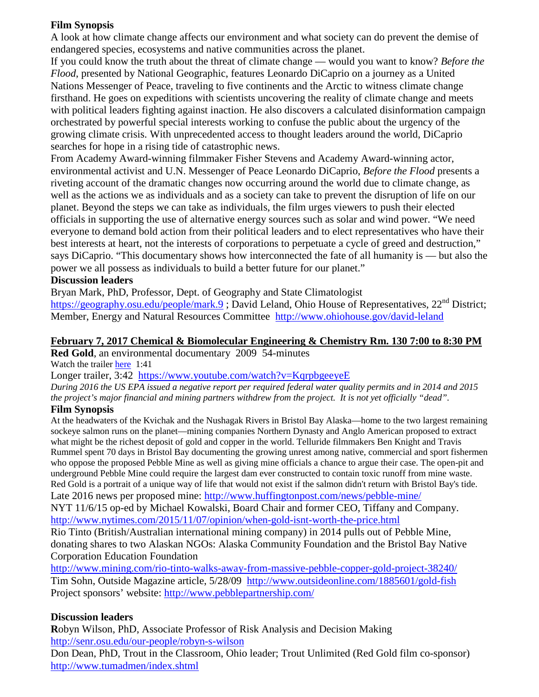### **Film Synopsis**

A look at how climate change affects our environment and what society can do prevent the demise of endangered species, ecosystems and native communities across the planet.

If you could know the truth about the threat of climate change — would you want to know? *Before the Flood*, presented by National Geographic, features Leonardo DiCaprio on a journey as a United Nations Messenger of Peace, traveling to five continents and the Arctic to witness climate change firsthand. He goes on expeditions with scientists uncovering the reality of climate change and meets with political leaders fighting against inaction. He also discovers a calculated disinformation campaign orchestrated by powerful special interests working to confuse the public about the urgency of the growing climate crisis. With unprecedented access to thought leaders around the world, DiCaprio searches for hope in a rising tide of catastrophic news.

From Academy Award-winning filmmaker Fisher Stevens and Academy Award-winning actor, environmental activist and U.N. Messenger of Peace Leonardo DiCaprio, *Before the Flood* presents a riveting account of the dramatic changes now occurring around the world due to climate change, as well as the actions we as individuals and as a society can take to prevent the disruption of life on our planet. Beyond the steps we can take as individuals, the film urges viewers to push their elected officials in supporting the use of alternative energy sources such as solar and wind power. "We need everyone to demand bold action from their political leaders and to elect representatives who have their best interests at heart, not the interests of corporations to perpetuate a cycle of greed and destruction," says DiCaprio. "This documentary shows how interconnected the fate of all humanity is — but also the power we all possess as individuals to build a better future for our planet."

# **Discussion leaders**

Bryan Mark, PhD, Professor, Dept. of Geography and State Climatologist

<https://geography.osu.edu/people/mark.9>; David Leland, Ohio House of Representatives, 22<sup>nd</sup> District; Member, Energy and Natural Resources Committee <http://www.ohiohouse.gov/david-leland>

#### **February 7, 2017 Chemical & Biomolecular Engineering & Chemistry Rm. 130 7:00 to 8:30 PM Red Gold**, an environmental documentary 2009 54-minutes

Watch the trailer [here](https://vimeo.com/ondemand/11980) 1:41

Longer trailer, 3:42 <https://www.youtube.com/watch?v=KqrpbgeeyeE>

*During 2016 the US EPA issued a negative report per required federal water quality permits and in 2014 and 2015 the project's major financial and mining partners withdrew from the project. It is not yet officially "dead".* 

### **Film Synopsis**

At the headwaters of the Kvichak and the Nushagak Rivers in Bristol Bay Alaska—home to the two largest remaining sockeye salmon runs on the planet—mining companies Northern Dynasty and Anglo American proposed to extract what might be the richest deposit of gold and copper in the world. Telluride filmmakers Ben Knight and Travis Rummel spent 70 days in Bristol Bay documenting the growing unrest among native, commercial and sport fishermen who oppose the proposed Pebble Mine as well as giving mine officials a chance to argue their case. The open-pit and underground Pebble Mine could require the largest dam ever constructed to contain toxic runoff from mine waste. Red Gold is a portrait of a unique way of life that would not exist if the salmon didn't return with Bristol Bay's tide. Late 2016 news per proposed mine: http://www.huffingtonpost.com/news/pebble-mine/

NYT 11/6/15 op-ed by Michael Kowalski, Board Chair and former CEO, Tiffany and Company. <http://www.nytimes.com/2015/11/07/opinion/when-gold-isnt-worth-the-price.html>

Rio Tinto (British/Australian international mining company) in 2014 pulls out of Pebble Mine, donating shares to two Alaskan NGOs: Alaska Community Foundation and the Bristol Bay Native Corporation Education Foundation

<http://www.mining.com/rio-tinto-walks-away-from-massive-pebble-copper-gold-project-38240/> Tim Sohn, Outside Magazine article, 5/28/09 <http://www.outsideonline.com/1885601/gold-fish> Project sponsors' website:<http://www.pebblepartnership.com/>

# **Discussion leaders**

**R**obyn Wilson, PhD, Associate Professor of Risk Analysis and Decision Making <http://senr.osu.edu/our-people/robyn-s-wilson>

Don Dean, PhD, Trout in the Classroom, Ohio leader; Trout Unlimited (Red Gold film co-sponsor) <http://www.tumadmen/index.shtml>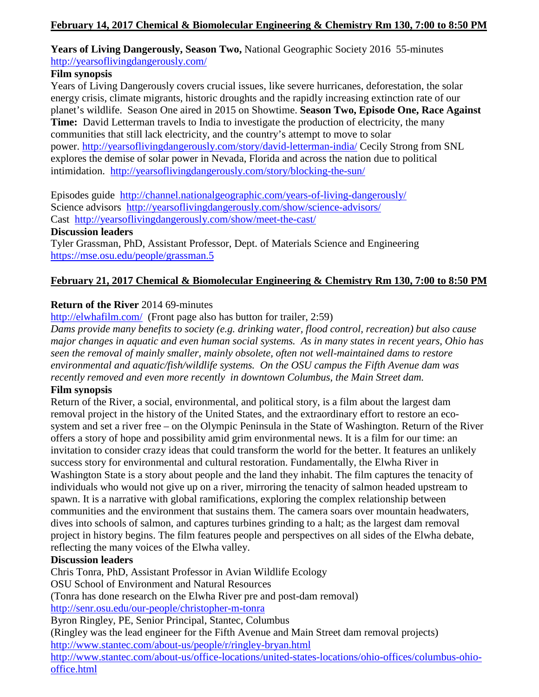# **Years of Living Dangerously, Season Two,** National Geographic Society 2016 55-minutes <http://yearsoflivingdangerously.com/>

### **Film synopsis**

Years of Living Dangerously covers crucial issues, like severe hurricanes, deforestation, the solar energy crisis, climate migrants, historic droughts and the rapidly increasing extinction rate of our planet's wildlife. Season One aired in 2015 on Showtime. **Season Two, Episode One, Race Against Time:** David Letterman travels to India to investigate the production of electricity, the many communities that still lack electricity, and the country's attempt to move to solar power. <http://yearsoflivingdangerously.com/story/david-letterman-india/> Cecily Strong from SNL explores the demise of solar power in Nevada, Florida and across the nation due to political intimidation. <http://yearsoflivingdangerously.com/story/blocking-the-sun/>

Episodes guide <http://channel.nationalgeographic.com/years-of-living-dangerously/> Science advisors <http://yearsoflivingdangerously.com/show/science-advisors/> Cast <http://yearsoflivingdangerously.com/show/meet-the-cast/>

### **Discussion leaders**

Tyler Grassman, PhD, Assistant Professor, Dept. of Materials Science and Engineering <https://mse.osu.edu/people/grassman.5>

# **February 21, 2017 Chemical & Biomolecular Engineering & Chemistry Rm 130, 7:00 to 8:50 PM**

# **Return of the River** 2014 69-minutes

<http://elwhafilm.com/>(Front page also has button for trailer, 2:59)

*Dams provide many benefits to society (e.g. drinking water, flood control, recreation) but also cause major changes in aquatic and even human social systems. As in many states in recent years, Ohio has seen the removal of mainly smaller, mainly obsolete, often not well-maintained dams to restore environmental and aquatic/fish/wildlife systems. On the OSU campus the Fifth Avenue dam was recently removed and even more recently in downtown Columbus, the Main Street dam.*

# **Film synopsis**

Return of the River, a social, environmental, and political story, is a film about the largest dam removal project in the history of the United States, and the extraordinary effort to restore an ecosystem and set a river free – on the Olympic Peninsula in the State of Washington. Return of the River offers a story of hope and possibility amid grim environmental news. It is a film for our time: an invitation to consider crazy ideas that could transform the world for the better. It features an unlikely success story for environmental and cultural restoration. Fundamentally, the Elwha River in Washington State is a story about people and the land they inhabit. The film captures the tenacity of individuals who would not give up on a river, mirroring the tenacity of salmon headed upstream to spawn. It is a narrative with global ramifications, exploring the complex relationship between communities and the environment that sustains them. The camera soars over mountain headwaters, dives into schools of salmon, and captures turbines grinding to a halt; as the largest dam removal project in history begins. The film features people and perspectives on all sides of the Elwha debate, reflecting the many voices of the Elwha valley.

# **Discussion leaders**

Chris Tonra, PhD, Assistant Professor in Avian Wildlife Ecology OSU School of Environment and Natural Resources (Tonra has done research on the Elwha River pre and post-dam removal) <http://senr.osu.edu/our-people/christopher-m-tonra> Byron Ringley, PE, Senior Principal, Stantec, Columbus (Ringley was the lead engineer for the Fifth Avenue and Main Street dam removal projects) <http://www.stantec.com/about-us/people/r/ringley-bryan.html>

[http://www.stantec.com/about-us/office-locations/united-states-locations/ohio-offices/columbus-ohio](http://www.stantec.com/about-us/office-locations/united-states-locations/ohio-offices/columbus-ohio-office.html)[office.html](http://www.stantec.com/about-us/office-locations/united-states-locations/ohio-offices/columbus-ohio-office.html)